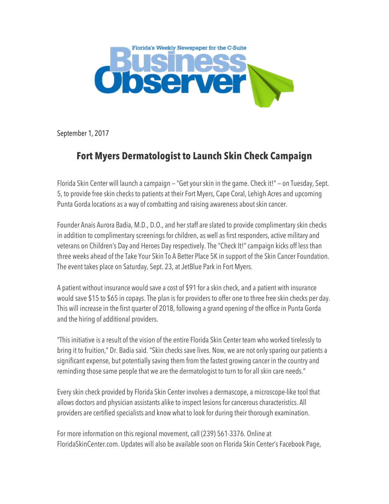

September 1, 2017

## **Fort Myers Dermatologist to Launch Skin Check Campaign**

Florida Skin Center will launch a campaign — "Get your skin in the game. Check it!" — on Tuesday, Sept. 5, to provide free skin checks to patients at their Fort Myers, Cape Coral, Lehigh Acres and upcoming Punta Gorda locations as a way of combatting and raising awareness about skin cancer.

Founder Anais Aurora Badia, M.D., D.O., and her staff are slated to provide complimentary skin checks in addition to complimentary screenings for children, as well as first responders, active military and veterans on Children's Day and Heroes Day respectively. The "Check It!" campaign kicks off less than three weeks ahead of the Take Your Skin To A Better Place 5K in support of the Skin Cancer Foundation. The event takes place on Saturday, Sept. 23, at JetBlue Park in Fort Myers.

A patient without insurance would save a cost of \$91 for a skin check, and a patient with insurance would save \$15 to \$65 in copays. The plan is for providers to offer one to three free skin checks per day. This will increase in the first quarter of 2018, following a grand opening of the office in Punta Gorda and the hiring of additional providers.

"This initiative is a result of the vision of the entire Florida Skin Center team who worked tirelessly to bring it to fruition," Dr. Badia said. "Skin checks save lives. Now, we are not only sparing our patients a significant expense, but potentially saving them from the fastest growing cancer in the country and reminding those same people that we are the dermatologist to turn to for all skin care needs."

Every skin check provided by Florida Skin Center involves a dermascope, a microscope-like tool that allows doctors and physician assistants alike to inspect lesions for cancerous characteristics. All providers are certified specialists and know what to look for during their thorough examination.

For more information on this regional movement, call (239) 561-3376. Online at FloridaSkinCenter.com. Updates will also be available soon on Florida Skin Center's Facebook Page,